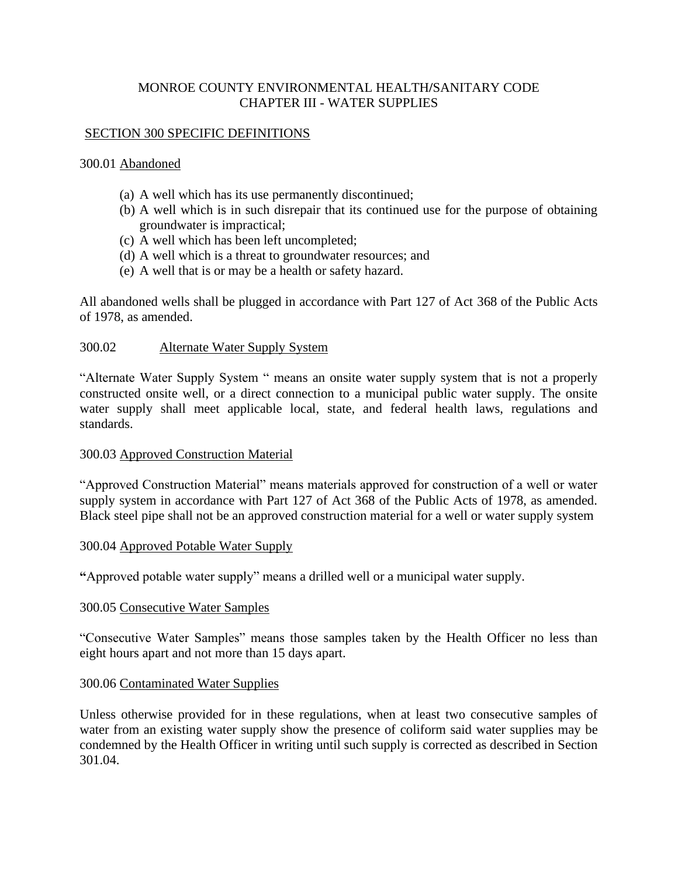# MONROE COUNTY ENVIRONMENTAL HEALTH**/**SANITARY CODE CHAPTER III - WATER SUPPLIES

### SECTION 300 SPECIFIC DEFINITIONS

#### 300.01 Abandoned

- (a) A well which has its use permanently discontinued;
- (b) A well which is in such disrepair that its continued use for the purpose of obtaining groundwater is impractical;
- (c) A well which has been left uncompleted;
- (d) A well which is a threat to groundwater resources; and
- (e) A well that is or may be a health or safety hazard.

All abandoned wells shall be plugged in accordance with Part 127 of Act 368 of the Public Acts of 1978, as amended.

### 300.02 Alternate Water Supply System

"Alternate Water Supply System " means an onsite water supply system that is not a properly constructed onsite well, or a direct connection to a municipal public water supply. The onsite water supply shall meet applicable local, state, and federal health laws, regulations and standards.

#### 300.03 Approved Construction Material

"Approved Construction Material" means materials approved for construction of a well or water supply system in accordance with Part 127 of Act 368 of the Public Acts of 1978, as amended. Black steel pipe shall not be an approved construction material for a well or water supply system

#### 300.04 Approved Potable Water Supply

**"**Approved potable water supply" means a drilled well or a municipal water supply.

#### 300.05 Consecutive Water Samples

"Consecutive Water Samples" means those samples taken by the Health Officer no less than eight hours apart and not more than 15 days apart.

#### 300.06 Contaminated Water Supplies

Unless otherwise provided for in these regulations, when at least two consecutive samples of water from an existing water supply show the presence of coliform said water supplies may be condemned by the Health Officer in writing until such supply is corrected as described in Section 301.04.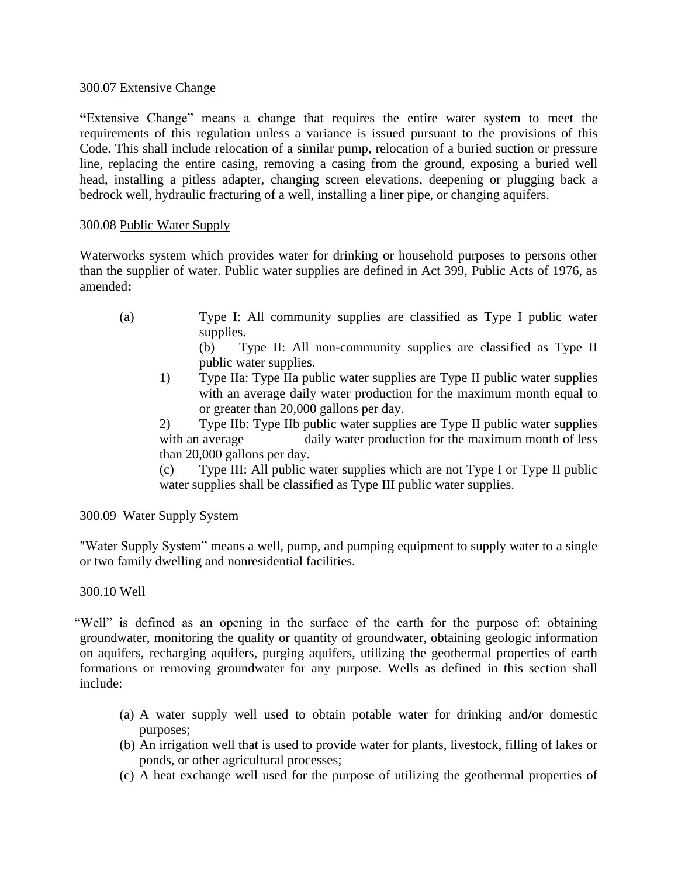## 300.07 Extensive Change

**"**Extensive Change" means a change that requires the entire water system to meet the requirements of this regulation unless a variance is issued pursuant to the provisions of this Code. This shall include relocation of a similar pump, relocation of a buried suction or pressure line, replacing the entire casing, removing a casing from the ground, exposing a buried well head, installing a pitless adapter, changing screen elevations, deepening or plugging back a bedrock well, hydraulic fracturing of a well, installing a liner pipe, or changing aquifers.

## 300.08 Public Water Supply

Waterworks system which provides water for drinking or household purposes to persons other than the supplier of water. Public water supplies are defined in Act 399, Public Acts of 1976, as amended**:**

(a) Type I: All community supplies are classified as Type I public water supplies.

(b) Type II: All non-community supplies are classified as Type II public water supplies.

1) Type IIa: Type IIa public water supplies are Type II public water supplies with an average daily water production for the maximum month equal to or greater than 20,000 gallons per day.

2) Type IIb: Type IIb public water supplies are Type II public water supplies with an average daily water production for the maximum month of less than 20,000 gallons per day.

(c) Type III: All public water supplies which are not Type I or Type II public water supplies shall be classified as Type III public water supplies.

# 300.09 Water Supply System

"Water Supply System" means a well, pump, and pumping equipment to supply water to a single or two family dwelling and nonresidential facilities.

# 300.10 Well

"Well" is defined as an opening in the surface of the earth for the purpose of: obtaining groundwater, monitoring the quality or quantity of groundwater, obtaining geologic information on aquifers, recharging aquifers, purging aquifers, utilizing the geothermal properties of earth formations or removing groundwater for any purpose. Wells as defined in this section shall include:

- (a) A water supply well used to obtain potable water for drinking and**/**or domestic purposes;
- (b) An irrigation well that is used to provide water for plants, livestock, filling of lakes or ponds, or other agricultural processes;
- (c) A heat exchange well used for the purpose of utilizing the geothermal properties of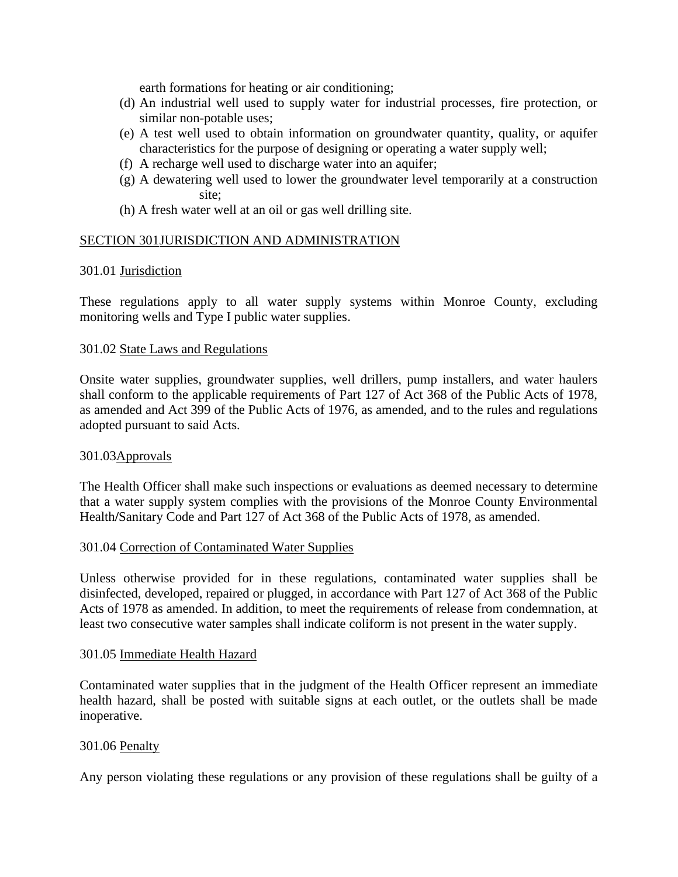earth formations for heating or air conditioning;

- (d) An industrial well used to supply water for industrial processes, fire protection, or similar non-potable uses;
- (e) A test well used to obtain information on groundwater quantity, quality, or aquifer characteristics for the purpose of designing or operating a water supply well;
- (f) A recharge well used to discharge water into an aquifer;
- (g) A dewatering well used to lower the groundwater level temporarily at a construction site;
- (h) A fresh water well at an oil or gas well drilling site.

## SECTION 301JURISDICTION AND ADMINISTRATION

## 301.01 Jurisdiction

These regulations apply to all water supply systems within Monroe County, excluding monitoring wells and Type I public water supplies.

### 301.02 State Laws and Regulations

Onsite water supplies, groundwater supplies, well drillers, pump installers, and water haulers shall conform to the applicable requirements of Part 127 of Act 368 of the Public Acts of 1978, as amended and Act 399 of the Public Acts of 1976, as amended, and to the rules and regulations adopted pursuant to said Acts.

#### 301.03Approvals

The Health Officer shall make such inspections or evaluations as deemed necessary to determine that a water supply system complies with the provisions of the Monroe County Environmental Health**/**Sanitary Code and Part 127 of Act 368 of the Public Acts of 1978, as amended.

## 301.04 Correction of Contaminated Water Supplies

Unless otherwise provided for in these regulations, contaminated water supplies shall be disinfected, developed, repaired or plugged, in accordance with Part 127 of Act 368 of the Public Acts of 1978 as amended. In addition, to meet the requirements of release from condemnation, at least two consecutive water samples shall indicate coliform is not present in the water supply.

#### 301.05 Immediate Health Hazard

Contaminated water supplies that in the judgment of the Health Officer represent an immediate health hazard, shall be posted with suitable signs at each outlet, or the outlets shall be made inoperative.

#### 301.06 Penalty

Any person violating these regulations or any provision of these regulations shall be guilty of a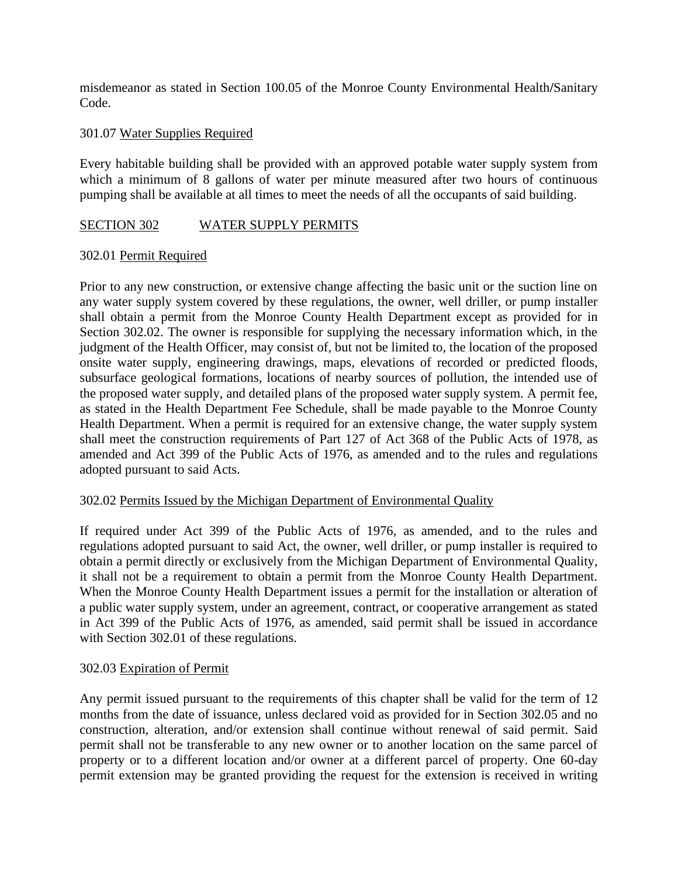misdemeanor as stated in Section 100.05 of the Monroe County Environmental Health**/**Sanitary Code.

# 301.07 Water Supplies Required

Every habitable building shall be provided with an approved potable water supply system from which a minimum of 8 gallons of water per minute measured after two hours of continuous pumping shall be available at all times to meet the needs of all the occupants of said building.

## SECTION 302 WATER SUPPLY PERMITS

## 302.01 Permit Required

Prior to any new construction, or extensive change affecting the basic unit or the suction line on any water supply system covered by these regulations, the owner, well driller, or pump installer shall obtain a permit from the Monroe County Health Department except as provided for in Section 302.02. The owner is responsible for supplying the necessary information which, in the judgment of the Health Officer, may consist of, but not be limited to, the location of the proposed onsite water supply, engineering drawings, maps, elevations of recorded or predicted floods, subsurface geological formations, locations of nearby sources of pollution, the intended use of the proposed water supply, and detailed plans of the proposed water supply system. A permit fee, as stated in the Health Department Fee Schedule, shall be made payable to the Monroe County Health Department. When a permit is required for an extensive change, the water supply system shall meet the construction requirements of Part 127 of Act 368 of the Public Acts of 1978, as amended and Act 399 of the Public Acts of 1976, as amended and to the rules and regulations adopted pursuant to said Acts.

## 302.02 Permits Issued by the Michigan Department of Environmental Quality

If required under Act 399 of the Public Acts of 1976, as amended, and to the rules and regulations adopted pursuant to said Act, the owner, well driller, or pump installer is required to obtain a permit directly or exclusively from the Michigan Department of Environmental Quality, it shall not be a requirement to obtain a permit from the Monroe County Health Department. When the Monroe County Health Department issues a permit for the installation or alteration of a public water supply system, under an agreement, contract, or cooperative arrangement as stated in Act 399 of the Public Acts of 1976, as amended, said permit shall be issued in accordance with Section 302.01 of these regulations.

## 302.03 Expiration of Permit

Any permit issued pursuant to the requirements of this chapter shall be valid for the term of 12 months from the date of issuance, unless declared void as provided for in Section 302.05 and no construction, alteration, and/or extension shall continue without renewal of said permit. Said permit shall not be transferable to any new owner or to another location on the same parcel of property or to a different location and/or owner at a different parcel of property. One 60-day permit extension may be granted providing the request for the extension is received in writing